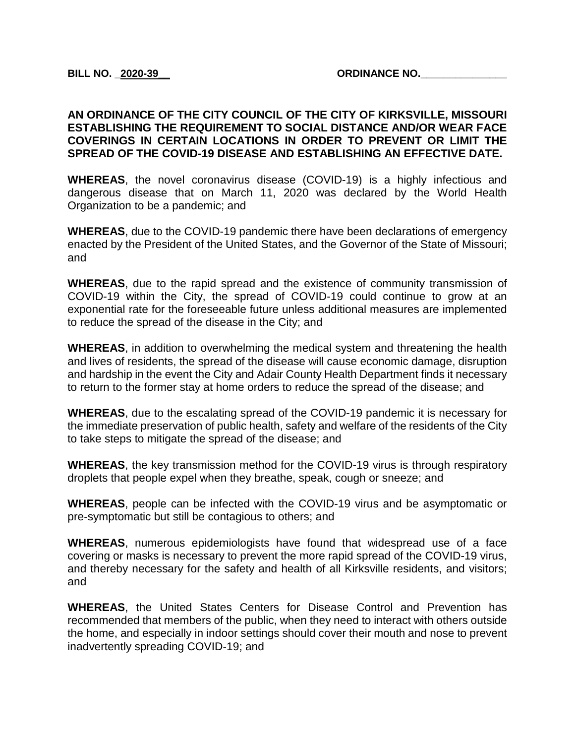#### **AN ORDINANCE OF THE CITY COUNCIL OF THE CITY OF KIRKSVILLE, MISSOURI ESTABLISHING THE REQUIREMENT TO SOCIAL DISTANCE AND/OR WEAR FACE COVERINGS IN CERTAIN LOCATIONS IN ORDER TO PREVENT OR LIMIT THE SPREAD OF THE COVID-19 DISEASE AND ESTABLISHING AN EFFECTIVE DATE.**

**WHEREAS**, the novel coronavirus disease (COVID-19) is a highly infectious and dangerous disease that on March 11, 2020 was declared by the World Health Organization to be a pandemic; and

**WHEREAS**, due to the COVID-19 pandemic there have been declarations of emergency enacted by the President of the United States, and the Governor of the State of Missouri; and

**WHEREAS**, due to the rapid spread and the existence of community transmission of COVID-19 within the City, the spread of COVID-19 could continue to grow at an exponential rate for the foreseeable future unless additional measures are implemented to reduce the spread of the disease in the City; and

**WHEREAS**, in addition to overwhelming the medical system and threatening the health and lives of residents, the spread of the disease will cause economic damage, disruption and hardship in the event the City and Adair County Health Department finds it necessary to return to the former stay at home orders to reduce the spread of the disease; and

**WHEREAS**, due to the escalating spread of the COVID-19 pandemic it is necessary for the immediate preservation of public health, safety and welfare of the residents of the City to take steps to mitigate the spread of the disease; and

**WHEREAS**, the key transmission method for the COVID-19 virus is through respiratory droplets that people expel when they breathe, speak, cough or sneeze; and

**WHEREAS**, people can be infected with the COVID-19 virus and be asymptomatic or pre-symptomatic but still be contagious to others; and

**WHEREAS**, numerous epidemiologists have found that widespread use of a face covering or masks is necessary to prevent the more rapid spread of the COVID-19 virus, and thereby necessary for the safety and health of all Kirksville residents, and visitors; and

**WHEREAS**, the United States Centers for Disease Control and Prevention has recommended that members of the public, when they need to interact with others outside the home, and especially in indoor settings should cover their mouth and nose to prevent inadvertently spreading COVID-19; and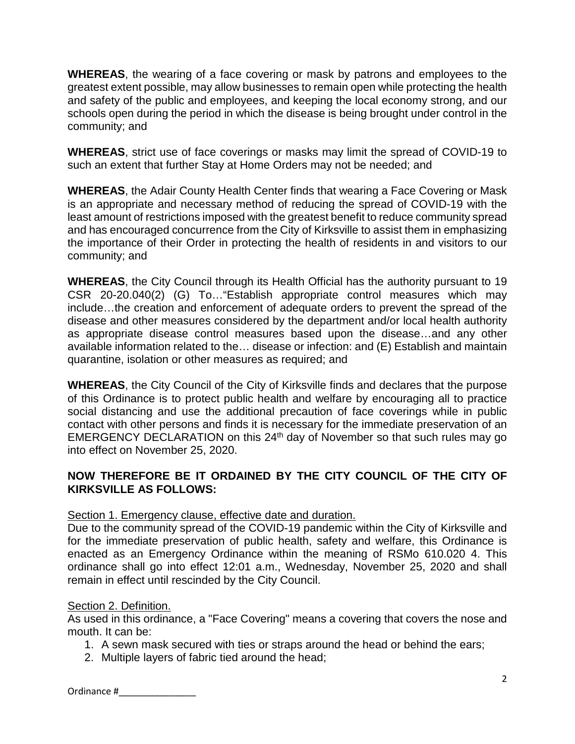**WHEREAS**, the wearing of a face covering or mask by patrons and employees to the greatest extent possible, may allow businesses to remain open while protecting the health and safety of the public and employees, and keeping the local economy strong, and our schools open during the period in which the disease is being brought under control in the community; and

**WHEREAS**, strict use of face coverings or masks may limit the spread of COVID-19 to such an extent that further Stay at Home Orders may not be needed; and

**WHEREAS**, the Adair County Health Center finds that wearing a Face Covering or Mask is an appropriate and necessary method of reducing the spread of COVID-19 with the least amount of restrictions imposed with the greatest benefit to reduce community spread and has encouraged concurrence from the City of Kirksville to assist them in emphasizing the importance of their Order in protecting the health of residents in and visitors to our community; and

**WHEREAS**, the City Council through its Health Official has the authority pursuant to 19 CSR 20-20.040(2) (G) To…"Establish appropriate control measures which may include…the creation and enforcement of adequate orders to prevent the spread of the disease and other measures considered by the department and/or local health authority as appropriate disease control measures based upon the disease…and any other available information related to the… disease or infection: and (E) Establish and maintain quarantine, isolation or other measures as required; and

**WHEREAS**, the City Council of the City of Kirksville finds and declares that the purpose of this Ordinance is to protect public health and welfare by encouraging all to practice social distancing and use the additional precaution of face coverings while in public contact with other persons and finds it is necessary for the immediate preservation of an EMERGENCY DECLARATION on this 24<sup>th</sup> day of November so that such rules may go into effect on November 25, 2020.

# **NOW THEREFORE BE IT ORDAINED BY THE CITY COUNCIL OF THE CITY OF KIRKSVILLE AS FOLLOWS:**

# Section 1. Emergency clause, effective date and duration.

Due to the community spread of the COVID-19 pandemic within the City of Kirksville and for the immediate preservation of public health, safety and welfare, this Ordinance is enacted as an Emergency Ordinance within the meaning of RSMo 610.020 4. This ordinance shall go into effect 12:01 a.m., Wednesday, November 25, 2020 and shall remain in effect until rescinded by the City Council.

# Section 2. Definition.

As used in this ordinance, a "Face Covering" means a covering that covers the nose and mouth. It can be:

- 1. A sewn mask secured with ties or straps around the head or behind the ears;
- 2. Multiple layers of fabric tied around the head;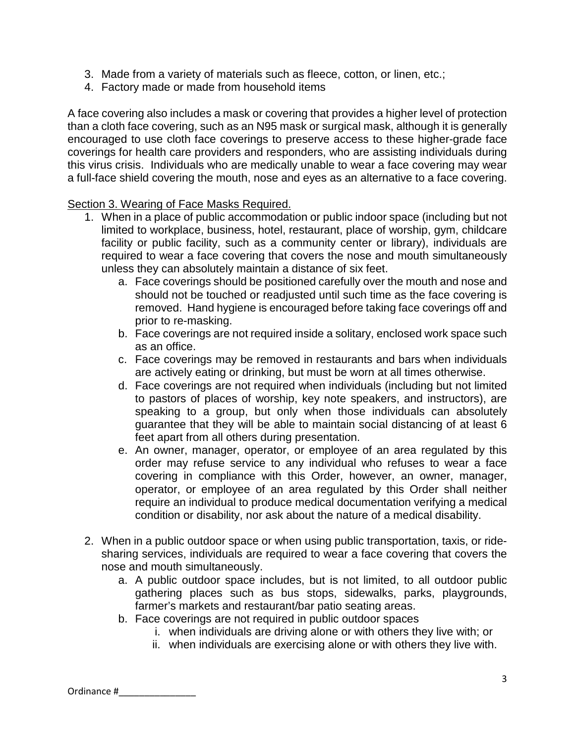- 3. Made from a variety of materials such as fleece, cotton, or linen, etc.;
- 4. Factory made or made from household items

A face covering also includes a mask or covering that provides a higher level of protection than a cloth face covering, such as an N95 mask or surgical mask, although it is generally encouraged to use cloth face coverings to preserve access to these higher-grade face coverings for health care providers and responders, who are assisting individuals during this virus crisis. Individuals who are medically unable to wear a face covering may wear a full-face shield covering the mouth, nose and eyes as an alternative to a face covering.

### Section 3. Wearing of Face Masks Required.

- 1. When in a place of public accommodation or public indoor space (including but not limited to workplace, business, hotel, restaurant, place of worship, gym, childcare facility or public facility, such as a community center or library), individuals are required to wear a face covering that covers the nose and mouth simultaneously unless they can absolutely maintain a distance of six feet.
	- a. Face coverings should be positioned carefully over the mouth and nose and should not be touched or readjusted until such time as the face covering is removed. Hand hygiene is encouraged before taking face coverings off and prior to re-masking.
	- b. Face coverings are not required inside a solitary, enclosed work space such as an office.
	- c. Face coverings may be removed in restaurants and bars when individuals are actively eating or drinking, but must be worn at all times otherwise.
	- d. Face coverings are not required when individuals (including but not limited to pastors of places of worship, key note speakers, and instructors), are speaking to a group, but only when those individuals can absolutely guarantee that they will be able to maintain social distancing of at least 6 feet apart from all others during presentation.
	- e. An owner, manager, operator, or employee of an area regulated by this order may refuse service to any individual who refuses to wear a face covering in compliance with this Order, however, an owner, manager, operator, or employee of an area regulated by this Order shall neither require an individual to produce medical documentation verifying a medical condition or disability, nor ask about the nature of a medical disability.
- 2. When in a public outdoor space or when using public transportation, taxis, or ridesharing services, individuals are required to wear a face covering that covers the nose and mouth simultaneously.
	- a. A public outdoor space includes, but is not limited, to all outdoor public gathering places such as bus stops, sidewalks, parks, playgrounds, farmer's markets and restaurant/bar patio seating areas.
	- b. Face coverings are not required in public outdoor spaces
		- i. when individuals are driving alone or with others they live with; or
		- ii. when individuals are exercising alone or with others they live with.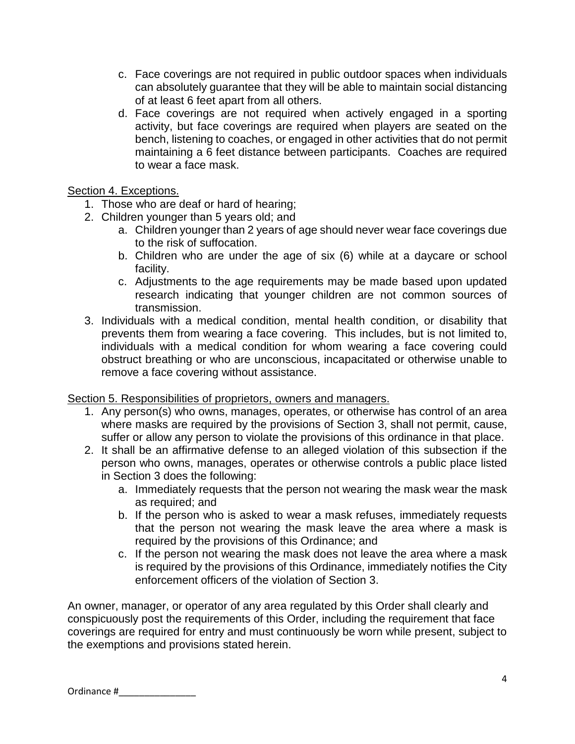- c. Face coverings are not required in public outdoor spaces when individuals can absolutely guarantee that they will be able to maintain social distancing of at least 6 feet apart from all others.
- d. Face coverings are not required when actively engaged in a sporting activity, but face coverings are required when players are seated on the bench, listening to coaches, or engaged in other activities that do not permit maintaining a 6 feet distance between participants. Coaches are required to wear a face mask.

## Section 4. Exceptions.

- 1. Those who are deaf or hard of hearing;
- 2. Children younger than 5 years old; and
	- a. Children younger than 2 years of age should never wear face coverings due to the risk of suffocation.
	- b. Children who are under the age of six (6) while at a daycare or school facility.
	- c. Adjustments to the age requirements may be made based upon updated research indicating that younger children are not common sources of transmission.
- 3. Individuals with a medical condition, mental health condition, or disability that prevents them from wearing a face covering. This includes, but is not limited to, individuals with a medical condition for whom wearing a face covering could obstruct breathing or who are unconscious, incapacitated or otherwise unable to remove a face covering without assistance.

# Section 5. Responsibilities of proprietors, owners and managers.

- 1. Any person(s) who owns, manages, operates, or otherwise has control of an area where masks are required by the provisions of Section 3, shall not permit, cause, suffer or allow any person to violate the provisions of this ordinance in that place.
- 2. It shall be an affirmative defense to an alleged violation of this subsection if the person who owns, manages, operates or otherwise controls a public place listed in Section 3 does the following:
	- a. Immediately requests that the person not wearing the mask wear the mask as required; and
	- b. If the person who is asked to wear a mask refuses, immediately requests that the person not wearing the mask leave the area where a mask is required by the provisions of this Ordinance; and
	- c. If the person not wearing the mask does not leave the area where a mask is required by the provisions of this Ordinance, immediately notifies the City enforcement officers of the violation of Section 3.

An owner, manager, or operator of any area regulated by this Order shall clearly and conspicuously post the requirements of this Order, including the requirement that face coverings are required for entry and must continuously be worn while present, subject to the exemptions and provisions stated herein.